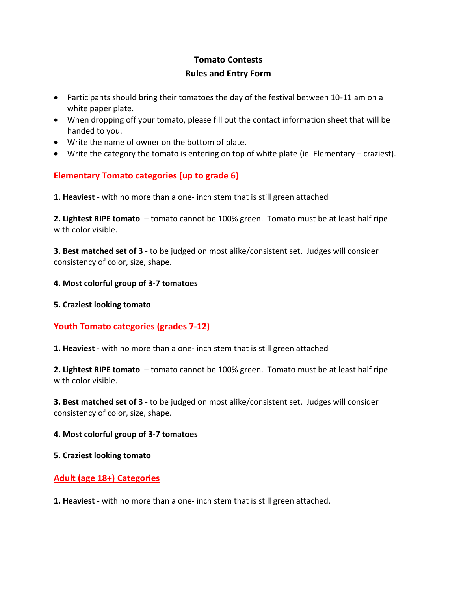# **Tomato Contests Rules and Entry Form**

- Participants should bring their tomatoes the day of the festival between 10-11 am on a white paper plate.
- When dropping off your tomato, please fill out the contact information sheet that will be handed to you.
- Write the name of owner on the bottom of plate.
- Write the category the tomato is entering on top of white plate (ie. Elementary craziest).

## **Elementary Tomato categories (up to grade 6)**

**1. Heaviest** - with no more than a one- inch stem that is still green attached

**2. Lightest RIPE tomato** – tomato cannot be 100% green. Tomato must be at least half ripe with color visible.

**3. Best matched set of 3** - to be judged on most alike/consistent set. Judges will consider consistency of color, size, shape.

#### **4. Most colorful group of 3-7 tomatoes**

#### **5. Craziest looking tomato**

## **Youth Tomato categories (grades 7-12)**

**1. Heaviest** - with no more than a one- inch stem that is still green attached

**2. Lightest RIPE tomato** – tomato cannot be 100% green. Tomato must be at least half ripe with color visible.

**3. Best matched set of 3** - to be judged on most alike/consistent set. Judges will consider consistency of color, size, shape.

#### **4. Most colorful group of 3-7 tomatoes**

#### **5. Craziest looking tomato**

## **Adult (age 18+) Categories**

**1. Heaviest** - with no more than a one- inch stem that is still green attached.